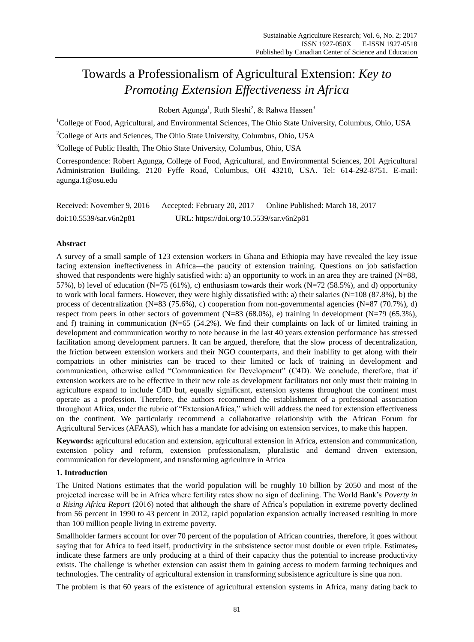# Towards a Professionalism of Agricultural Extension: *Key to Promoting Extension Effectiveness in Africa*

Robert Agunga<sup>1</sup>, Ruth Sleshi<sup>2</sup>, & Rahwa Hassen<sup>3</sup>

<sup>1</sup>College of Food, Agricultural, and Environmental Sciences, The Ohio State University, Columbus, Ohio, USA

<sup>2</sup>College of Arts and Sciences, The Ohio State University, Columbus, Ohio, USA

<sup>3</sup>College of Public Health, The Ohio State University, Columbus, Ohio, USA

Correspondence: Robert Agunga, College of Food, Agricultural, and Environmental Sciences, 201 Agricultural Administration Building, 2120 Fyffe Road, Columbus, OH 43210, USA. Tel: 614-292-8751. E-mail: agunga.1@osu.edu

| Received: November 9, 2016 | Accepted: February 20, 2017              | Online Published: March 18, 2017 |
|----------------------------|------------------------------------------|----------------------------------|
| doi:10.5539/sar.v6n2p81    | URL: https://doi.org/10.5539/sar.v6n2p81 |                                  |

## **Abstract**

A survey of a small sample of 123 extension workers in Ghana and Ethiopia may have revealed the key issue facing extension ineffectiveness in Africa—the paucity of extension training. Questions on job satisfaction showed that respondents were highly satisfied with: a) an opportunity to work in an area they are trained (N=88, 57%), b) level of education (N=75 (61%), c) enthusiasm towards their work (N=72 (58.5%), and d) opportunity to work with local farmers. However, they were highly dissatisfied with: a) their salaries  $(N=108 (87.8%), b)$  the process of decentralization (N=83 (75.6%), c) cooperation from non-governmental agencies (N=87 (70.7%), d) respect from peers in other sectors of government (N=83 (68.0%), e) training in development (N=79 (65.3%), and f) training in communication  $(N=65, 64.2\%)$ . We find their complaints on lack of or limited training in development and communication worthy to note because in the last 40 years extension performance has stressed facilitation among development partners. It can be argued, therefore, that the slow process of decentralization, the friction between extension workers and their NGO counterparts, and their inability to get along with their compatriots in other ministries can be traced to their limited or lack of training in development and communication, otherwise called "Communication for Development" (C4D). We conclude, therefore, that if extension workers are to be effective in their new role as development facilitators not only must their training in agriculture expand to include C4D but, equally significant, extension systems throughout the continent must operate as a profession. Therefore, the authors recommend the establishment of a professional association throughout Africa, under the rubric of "ExtensionAfrica," which will address the need for extension effectiveness on the continent. We particularly recommend a collaborative relationship with the African Forum for Agricultural Services (AFAAS), which has a mandate for advising on extension services, to make this happen.

**Keywords:** agricultural education and extension, agricultural extension in Africa, extension and communication, extension policy and reform, extension professionalism, pluralistic and demand driven extension, communication for development, and transforming agriculture in Africa

## **1. Introduction**

The United Nations estimates that the world population will be roughly 10 billion by 2050 and most of the projected increase will be in Africa where fertility rates show no sign of declining. The World Bank's *Poverty in a Rising Africa Report* (2016) noted that although the share of Africa's population in extreme poverty declined from 56 percent in 1990 to 43 percent in 2012, rapid population expansion actually increased resulting in more than 100 million people living in extreme poverty.

Smallholder farmers account for over 70 percent of the population of African countries, therefore, it goes without saying that for Africa to feed itself, productivity in the subsistence sector must double or even triple. Estimates, indicate these farmers are only producing at a third of their capacity thus the potential to increase productivity exists. The challenge is whether extension can assist them in gaining access to modern farming techniques and technologies. The centrality of agricultural extension in transforming subsistence agriculture is sine qua non.

The problem is that 60 years of the existence of agricultural extension systems in Africa, many dating back to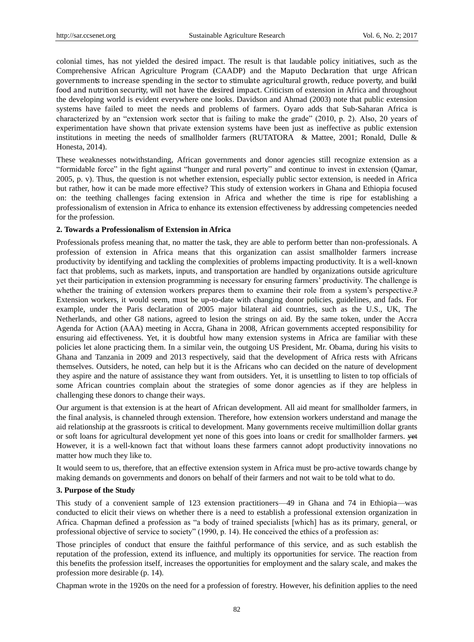colonial times, has not yielded the desired impact. The result is that laudable policy initiatives, such as the Comprehensive African Agriculture Program (CAADP) and the Maputo Declaration that urge African governments to increase spending in the sector to stimulate agricultural growth, reduce poverty, and build food and nutrition security, will not have the desired impact. Criticism of extension in Africa and throughout the developing world is evident everywhere one looks. Davidson and Ahmad (2003) note that public extension systems have failed to meet the needs and problems of farmers. Oyaro adds that Sub-Saharan Africa is characterized by an "extension work sector that is failing to make the grade" (2010, p. 2). Also, 20 years of experimentation have shown that private extension systems have been just as ineffective as public extension institutions in meeting the needs of smallholder farmers (RUTATORA & Mattee, 2001; Ronald, Dulle & Honesta, 2014).

These weaknesses notwithstanding, African governments and donor agencies still recognize extension as a "formidable force" in the fight against "hunger and rural poverty" and continue to invest in extension (Qamar, 2005, p. v). Thus, the question is not whether extension, especially public sector extension, is needed in Africa but rather, how it can be made more effective? This study of extension workers in Ghana and Ethiopia focused on: the teething challenges facing extension in Africa and whether the time is ripe for establishing a professionalism of extension in Africa to enhance its extension effectiveness by addressing competencies needed for the profession.

## **2. Towards a Professionalism of Extension in Africa**

Professionals profess meaning that, no matter the task, they are able to perform better than non-professionals. A profession of extension in Africa means that this organization can assist smallholder farmers increase productivity by identifying and tackling the complexities of problems impacting productivity. It is a well-known fact that problems, such as markets, inputs, and transportation are handled by organizations outside agriculture yet their participation in extension programming is necessary for ensuring farmers' productivity. The challenge is whether the training of extension workers prepares them to examine their role from a system's perspective.<sup>2</sup> Extension workers, it would seem, must be up-to-date with changing donor policies, guidelines, and fads. For example, under the Paris declaration of 2005 major bilateral aid countries, such as the U.S., UK, The Netherlands, and other G8 nations, agreed to lesion the strings on aid. By the same token, under the Accra Agenda for Action (AAA) meeting in Accra, Ghana in 2008, African governments accepted responsibility for ensuring aid effectiveness. Yet, it is doubtful how many extension systems in Africa are familiar with these policies let alone practicing them. In a similar vein, the outgoing US President, Mr. Obama, during his visits to Ghana and Tanzania in 2009 and 2013 respectively, said that the development of Africa rests with Africans themselves. Outsiders, he noted, can help but it is the Africans who can decided on the nature of development they aspire and the nature of assistance they want from outsiders. Yet, it is unsettling to listen to top officials of some African countries complain about the strategies of some donor agencies as if they are helpless in challenging these donors to change their ways.

Our argument is that extension is at the heart of African development. All aid meant for smallholder farmers, in the final analysis, is channeled through extension. Therefore, how extension workers understand and manage the aid relationship at the grassroots is critical to development. Many governments receive multimillion dollar grants or soft loans for agricultural development yet none of this goes into loans or credit for smallholder farmers. yet However, it is a well-known fact that without loans these farmers cannot adopt productivity innovations no matter how much they like to.

It would seem to us, therefore, that an effective extension system in Africa must be pro-active towards change by making demands on governments and donors on behalf of their farmers and not wait to be told what to do.

#### **3. Purpose of the Study**

This study of a convenient sample of 123 extension practitioners—49 in Ghana and 74 in Ethiopia—was conducted to elicit their views on whether there is a need to establish a professional extension organization in Africa. Chapman defined a profession as "a body of trained specialists [which] has as its primary, general, or professional objective of service to society" (1990, p. 14). He conceived the ethics of a profession as:

Those principles of conduct that ensure the faithful performance of this service, and as such establish the reputation of the profession, extend its influence, and multiply its opportunities for service. The reaction from this benefits the profession itself, increases the opportunities for employment and the salary scale, and makes the profession more desirable (p. 14).

Chapman wrote in the 1920s on the need for a profession of forestry. However, his definition applies to the need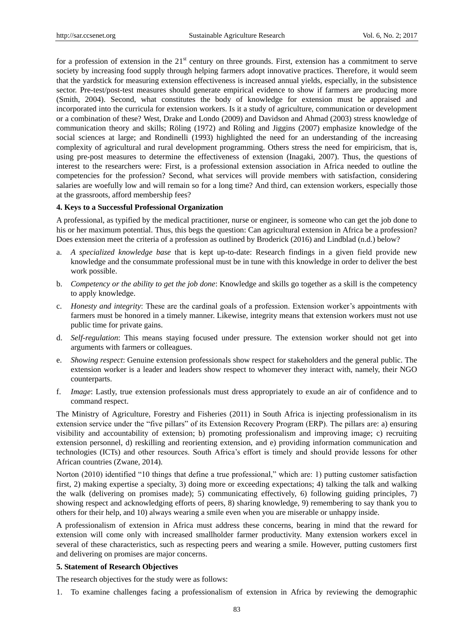for a profession of extension in the  $21<sup>st</sup>$  century on three grounds. First, extension has a commitment to serve society by increasing food supply through helping farmers adopt innovative practices. Therefore, it would seem that the yardstick for measuring extension effectiveness is increased annual yields, especially, in the subsistence sector. Pre-test/post-test measures should generate empirical evidence to show if farmers are producing more (Smith, 2004). Second, what constitutes the body of knowledge for extension must be appraised and incorporated into the curricula for extension workers. Is it a study of agriculture, communication or development or a combination of these? West, Drake and Londo (2009) and Davidson and Ahmad (2003) stress knowledge of communication theory and skills; Röling (1972) and Röling and Jiggins (2007) emphasize knowledge of the social sciences at large; and Rondinelli (1993) highlighted the need for an understanding of the increasing complexity of agricultural and rural development programming. Others stress the need for empiricism, that is, using pre-post measures to determine the effectiveness of extension (Inagaki, 2007). Thus, the questions of interest to the researchers were: First, is a professional extension association in Africa needed to outline the competencies for the profession? Second, what services will provide members with satisfaction, considering salaries are woefully low and will remain so for a long time? And third, can extension workers, especially those at the grassroots, afford membership fees?

## **4. Keys to a Successful Professional Organization**

A professional, as typified by the medical practitioner, nurse or engineer, is someone who can get the job done to his or her maximum potential. Thus, this begs the question: Can agricultural extension in Africa be a profession? Does extension meet the criteria of a profession as outlined by Broderick (2016) and Lindblad (n.d.) below?

- a. *A specialized knowledge base* that is kept up-to-date: Research findings in a given field provide new knowledge and the consummate professional must be in tune with this knowledge in order to deliver the best work possible.
- b. *Competency or the ability to get the job done*: Knowledge and skills go together as a skill is the competency to apply knowledge.
- c. *Honesty and integrity*: These are the cardinal goals of a profession. Extension worker's appointments with farmers must be honored in a timely manner. Likewise, integrity means that extension workers must not use public time for private gains.
- d. *Self-regulation*: This means staying focused under pressure. The extension worker should not get into arguments with farmers or colleagues.
- e. *Showing respect*: Genuine extension professionals show respect for stakeholders and the general public. The extension worker is a leader and leaders show respect to whomever they interact with, namely, their NGO counterparts.
- f. *Image*: Lastly, true extension professionals must dress appropriately to exude an air of confidence and to command respect.

The Ministry of Agriculture, Forestry and Fisheries (2011) in South Africa is injecting professionalism in its extension service under the "five pillars" of its Extension Recovery Program (ERP). The pillars are: a) ensuring visibility and accountability of extension; b) promoting professionalism and improving image; c) recruiting extension personnel, d) reskilling and reorienting extension, and e) providing information communication and technologies (ICTs) and other resources. South Africa's effort is timely and should provide lessons for other African countries (Zwane, 2014).

Norton (2010) identified "10 things that define a true professional," which are: 1) putting customer satisfaction first, 2) making expertise a specialty, 3) doing more or exceeding expectations; 4) talking the talk and walking the walk (delivering on promises made); 5) communicating effectively, 6) following guiding principles, 7) showing respect and acknowledging efforts of peers, 8) sharing knowledge, 9) remembering to say thank you to others for their help, and 10) always wearing a smile even when you are miserable or unhappy inside.

A professionalism of extension in Africa must address these concerns, bearing in mind that the reward for extension will come only with increased smallholder farmer productivity. Many extension workers excel in several of these characteristics, such as respecting peers and wearing a smile. However, putting customers first and delivering on promises are major concerns.

#### **5. Statement of Research Objectives**

The research objectives for the study were as follows:

1. To examine challenges facing a professionalism of extension in Africa by reviewing the demographic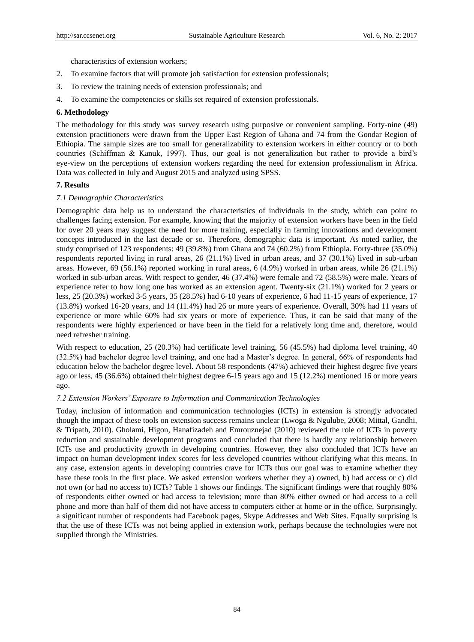characteristics of extension workers;

- 2. To examine factors that will promote job satisfaction for extension professionals;
- 3. To review the training needs of extension professionals; and
- 4. To examine the competencies or skills set required of extension professionals.

# **6. Methodology**

The methodology for this study was survey research using purposive or convenient sampling. Forty-nine (49) extension practitioners were drawn from the Upper East Region of Ghana and 74 from the Gondar Region of Ethiopia. The sample sizes are too small for generalizability to extension workers in either country or to both countries (Schiffman & Kanuk, 1997). Thus, our goal is not generalization but rather to provide a bird's eye-view on the perceptions of extension workers regarding the need for extension professionalism in Africa. Data was collected in July and August 2015 and analyzed using SPSS.

# **7. Results**

## *7.1 Demographic Characteristics*

Demographic data help us to understand the characteristics of individuals in the study, which can point to challenges facing extension. For example, knowing that the majority of extension workers have been in the field for over 20 years may suggest the need for more training, especially in farming innovations and development concepts introduced in the last decade or so. Therefore, demographic data is important. As noted earlier, the study comprised of 123 respondents: 49 (39.8%) from Ghana and 74 (60.2%) from Ethiopia. Forty-three (35.0%) respondents reported living in rural areas, 26 (21.1%) lived in urban areas, and 37 (30.1%) lived in sub-urban areas. However, 69 (56.1%) reported working in rural areas, 6 (4.9%) worked in urban areas, while 26 (21.1%) worked in sub-urban areas. With respect to gender, 46 (37.4%) were female and 72 (58.5%) were male. Years of experience refer to how long one has worked as an extension agent. Twenty-six (21.1%) worked for 2 years or less, 25 (20.3%) worked 3-5 years, 35 (28.5%) had 6-10 years of experience, 6 had 11-15 years of experience, 17 (13.8%) worked 16-20 years, and 14 (11.4%) had 26 or more years of experience. Overall, 30% had 11 years of experience or more while 60% had six years or more of experience. Thus, it can be said that many of the respondents were highly experienced or have been in the field for a relatively long time and, therefore, would need refresher training.

With respect to education, 25 (20.3%) had certificate level training, 56 (45.5%) had diploma level training, 40 (32.5%) had bachelor degree level training, and one had a Master's degree. In general, 66% of respondents had education below the bachelor degree level. About 58 respondents (47%) achieved their highest degree five years ago or less, 45 (36.6%) obtained their highest degree 6-15 years ago and 15 (12.2%) mentioned 16 or more years ago.

# *7.2 Extension Workers' Exposure to Information and Communication Technologies*

Today, inclusion of information and communication technologies (ICTs) in extension is strongly advocated though the impact of these tools on extension success remains unclear (Lwoga & Ngulube, 2008; Mittal, Gandhi, & Tripath, 2010). Gholami, Higon, Hanafizadeh and Emrouznejad (2010) reviewed the role of ICTs in poverty reduction and sustainable development programs and concluded that there is hardly any relationship between ICTs use and productivity growth in developing countries. However, they also concluded that ICTs have an impact on human development index scores for less developed countries without clarifying what this means. In any case, extension agents in developing countries crave for ICTs thus our goal was to examine whether they have these tools in the first place. We asked extension workers whether they a) owned, b) had access or c) did not own (or had no access to) ICTs? Table 1 shows our findings. The significant findings were that roughly 80% of respondents either owned or had access to television; more than 80% either owned or had access to a cell phone and more than half of them did not have access to computers either at home or in the office. Surprisingly, a significant number of respondents had Facebook pages, Skype Addresses and Web Sites. Equally surprising is that the use of these ICTs was not being applied in extension work, perhaps because the technologies were not supplied through the Ministries.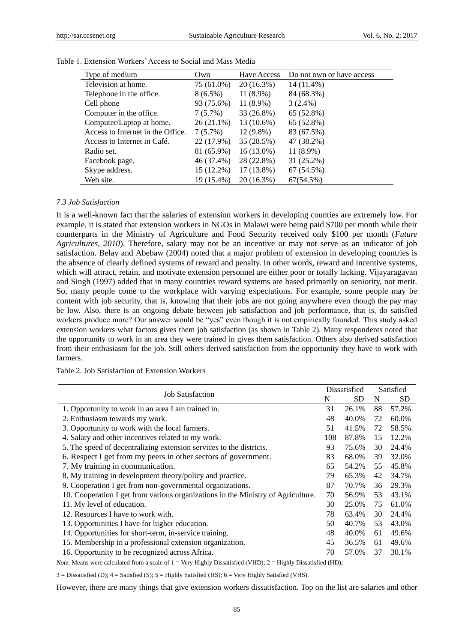| Type of medium                    | Own          | Have Access  | Do not own or have access |
|-----------------------------------|--------------|--------------|---------------------------|
| Television at home.               | 75 (61.0%)   | 20 (16.3%)   | 14 (11.4%)                |
| Telephone in the office.          | $8(6.5\%)$   | $11(8.9\%)$  | 84 (68.3%)                |
| Cell phone                        | 93 (75.6%)   | $11(8.9\%)$  | $3(2.4\%)$                |
| Computer in the office.           | 7(5.7%)      | 33 (26.8%)   | 65 (52.8%)                |
| Computer/Laptop at home.          | $26(21.1\%)$ | 13 (10.6%)   | 65 (52.8%)                |
| Access to Internet in the Office. | $7(5.7\%)$   | $12(9.8\%)$  | 83 (67.5%)                |
| Access to Internet in Café        | 22 (17.9%)   | 35 (28.5%)   | 47 (38.2%)                |
| Radio set.                        | 81 (65.9%)   | $16(13.0\%)$ | $11(8.9\%)$               |
| Facebook page.                    | 46 (37.4%)   | 28 (22.8%)   | 31 (25.2%)                |
| Skype address.                    | 15 (12.2%)   | 17 (13.8%)   | 67 (54.5%)                |
| Web site.                         | 19 (15.4%)   | 20 (16.3%)   | 67(54.5%)                 |

#### *7.3 Job Satisfaction*

It is a well-known fact that the salaries of extension workers in developing counties are extremely low. For example, it is stated that extension workers in NGOs in Malawi were being paid \$700 per month while their counterparts in the Ministry of Agriculture and Food Security received only \$100 per month (*Future Agricultures, 2010*). Therefore, salary may not be an incentive or may not serve as an indicator of job satisfaction. Belay and Abebaw (2004) noted that a major problem of extension in developing countries is the absence of clearly defined systems of reward and penalty. In other words, reward and incentive systems, which will attract, retain, and motivate extension personnel are either poor or totally lacking. Vijayaragavan and Singh (1997) added that in many countries reward systems are based primarily on seniority, not merit. So, many people come to the workplace with varying expectations. For example, some people may be content with job security, that is, knowing that their jobs are not going anywhere even though the pay may be low. Also, there is an ongoing debate between job satisfaction and job performance, that is, do satisfied workers produce more? Our answer would be "yes" even though it is not empirically founded. This study asked extension workers what factors gives them job satisfaction (as shown in Table 2). Many respondents noted that the opportunity to work in an area they were trained in gives them satisfaction. Others also derived satisfaction from their enthusiasm for the job. Still others derived satisfaction from the opportunity they have to work with farmers.

Table 2. Job Satisfaction of Extension Workers

|                                                                                  |     | Dissatisfied | Satisfied |       |  |
|----------------------------------------------------------------------------------|-----|--------------|-----------|-------|--|
| <b>Job Satisfaction</b>                                                          | N   | SD.          | N         | SD    |  |
| 1. Opportunity to work in an area I am trained in.                               | 31  | 26.1%        | 88        | 57.2% |  |
| 2. Enthusiasm towards my work.                                                   | 48  | 40.0%        | 72        | 60.0% |  |
| 3. Opportunity to work with the local farmers.                                   | 51  | 41.5%        | 72        | 58.5% |  |
| 4. Salary and other incentives related to my work.                               | 108 | 87.8%        | 15        | 12.2% |  |
| 5. The speed of decentralizing extension services to the districts.              | 93  | 75.6%        | 30        | 24.4% |  |
| 6. Respect I get from my peers in other sectors of government.                   | 83  | 68.0%        | 39        | 32.0% |  |
| 7. My training in communication.                                                 | 65  | 54.2%        | 55        | 45.8% |  |
| 8. My training in development theory/policy and practice.                        | 79  | 65.3%        | 42        | 34.7% |  |
| 9. Cooperation I get from non-governmental organizations.                        | 87  | 70.7%        | 36        | 29.3% |  |
| 10. Cooperation I get from various organizations in the Ministry of Agriculture. | 70  | 56.9%        | 53        | 43.1% |  |
| 11. My level of education.                                                       | 30  | 25.0%        | 75        | 61.0% |  |
| 12. Resources I have to work with.                                               | 78  | 63.4%        | 30        | 24.4% |  |
| 13. Opportunities I have for higher education.                                   | 50  | 40.7%        | 53        | 43.0% |  |
| 14. Opportunities for short-term, in-service training.                           | 48  | 40.0%        | 61        | 49.6% |  |
| 15. Membership in a professional extension organization.                         | 45  | 36.5%        | 61        | 49.6% |  |
| 16. Opportunity to be recognized across Africa.                                  | 70  | 57.0%        | 37        | 30.1% |  |

*Note.* Means were calculated from a scale of  $1 =$  Very Highly Dissatisfied (VHD);  $2 =$  Highly Dissatisfied (HD);

 $3 =$  Dissatisfied (D);  $4 =$  Satisfied (S);  $5 =$  Highly Satisfied (HS);  $6 =$  Very Highly Satisfied (VHS).

However, there are many things that give extension workers dissatisfaction. Top on the list are salaries and other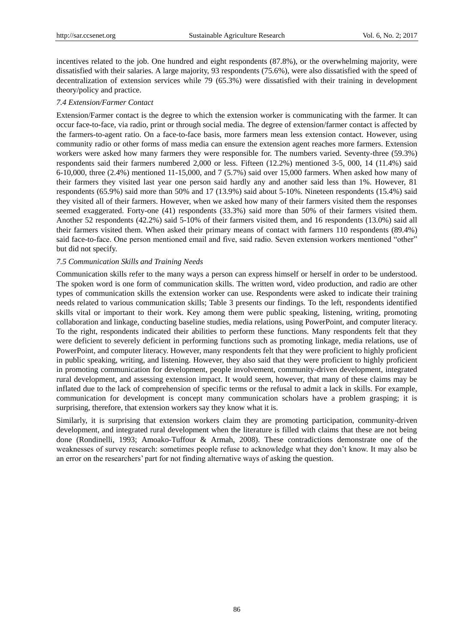incentives related to the job. One hundred and eight respondents (87.8%), or the overwhelming majority, were dissatisfied with their salaries. A large majority, 93 respondents (75.6%), were also dissatisfied with the speed of decentralization of extension services while 79 (65.3%) were dissatisfied with their training in development theory/policy and practice.

## *7.4 Extension/Farmer Contact*

Extension/Farmer contact is the degree to which the extension worker is communicating with the farmer. It can occur face-to-face, via radio, print or through social media. The degree of extension/farmer contact is affected by the farmers-to-agent ratio. On a face-to-face basis, more farmers mean less extension contact. However, using community radio or other forms of mass media can ensure the extension agent reaches more farmers. Extension workers were asked how many farmers they were responsible for. The numbers varied. Seventy-three (59.3%) respondents said their farmers numbered 2,000 or less. Fifteen (12.2%) mentioned 3-5, 000, 14 (11.4%) said 6-10,000, three (2.4%) mentioned 11-15,000, and 7 (5.7%) said over 15,000 farmers. When asked how many of their farmers they visited last year one person said hardly any and another said less than 1%. However, 81 respondents (65.9%) said more than 50% and 17 (13.9%) said about 5-10%. Nineteen respondents (15.4%) said they visited all of their farmers. However, when we asked how many of their farmers visited them the responses seemed exaggerated. Forty-one (41) respondents (33.3%) said more than 50% of their farmers visited them. Another 52 respondents (42.2%) said 5-10% of their farmers visited them, and 16 respondents (13.0%) said all their farmers visited them. When asked their primary means of contact with farmers 110 respondents (89.4%) said face-to-face. One person mentioned email and five, said radio. Seven extension workers mentioned "other" but did not specify.

## *7.5 Communication Skills and Training Needs*

Communication skills refer to the many ways a person can express himself or herself in order to be understood. The spoken word is one form of communication skills. The written word, video production, and radio are other types of communication skills the extension worker can use. Respondents were asked to indicate their training needs related to various communication skills; Table 3 presents our findings. To the left, respondents identified skills vital or important to their work. Key among them were public speaking, listening, writing, promoting collaboration and linkage, conducting baseline studies, media relations, using PowerPoint, and computer literacy. To the right, respondents indicated their abilities to perform these functions. Many respondents felt that they were deficient to severely deficient in performing functions such as promoting linkage, media relations, use of PowerPoint, and computer literacy. However, many respondents felt that they were proficient to highly proficient in public speaking, writing, and listening. However, they also said that they were proficient to highly proficient in promoting communication for development, people involvement, community-driven development, integrated rural development, and assessing extension impact. It would seem, however, that many of these claims may be inflated due to the lack of comprehension of specific terms or the refusal to admit a lack in skills. For example, communication for development is concept many communication scholars have a problem grasping; it is surprising, therefore, that extension workers say they know what it is.

Similarly, it is surprising that extension workers claim they are promoting participation, community-driven development, and integrated rural development when the literature is filled with claims that these are not being done (Rondinelli, 1993; Amoako-Tuffour & Armah, 2008). These contradictions demonstrate one of the weaknesses of survey research: sometimes people refuse to acknowledge what they don't know. It may also be an error on the researchers' part for not finding alternative ways of asking the question.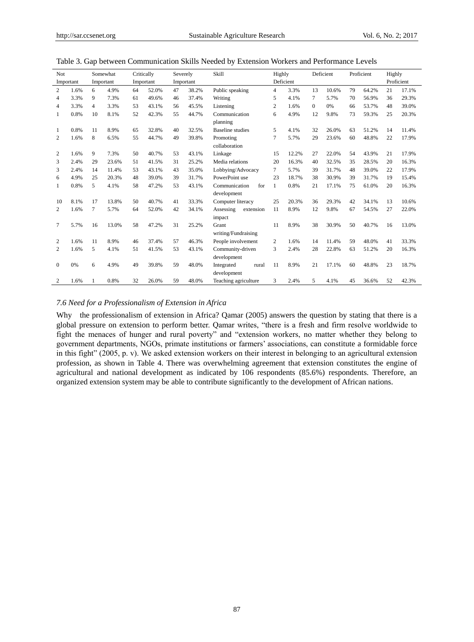| <b>Not</b>     |           |                | Somewhat  |    | Critically | Severely |           | <b>Skill</b>            | Highly         |       |          | Deficient |    | Proficient | Highly |            |
|----------------|-----------|----------------|-----------|----|------------|----------|-----------|-------------------------|----------------|-------|----------|-----------|----|------------|--------|------------|
|                | Important |                | Important |    | Important  |          | Important |                         | Deficient      |       |          |           |    |            |        | Proficient |
| $\overline{c}$ | 1.6%      | 6              | 4.9%      | 64 | 52.0%      | 47       | 38.2%     | Public speaking         | 4              | 3.3%  | 13       | 10.6%     | 79 | 64.2%      | 21     | 17.1%      |
| 4              | 3.3%      | 9              | 7.3%      | 61 | 49.6%      | 46       | 37.4%     | Writing                 | 5              | 4.1%  | 7        | 5.7%      | 70 | 56.9%      | 36     | 29.3%      |
| 4              | 3.3%      | $\overline{4}$ | 3.3%      | 53 | 43.1%      | 56       | 45.5%     | Listening               | 2              | 1.6%  | $\Omega$ | 0%        | 66 | 53.7%      | 48     | 39.0%      |
|                | 0.8%      | 10             | 8.1%      | 52 | 42.3%      | 55       | 44.7%     | Communication           | 6              | 4.9%  | 12       | 9.8%      | 73 | 59.3%      | 25     | 20.3%      |
|                |           |                |           |    |            |          |           | planning                |                |       |          |           |    |            |        |            |
|                | 0.8%      | 11             | 8.9%      | 65 | 32.8%      | 40       | 32.5%     | <b>Baseline</b> studies | 5              | 4.1%  | 32       | 26.0%     | 63 | 51.2%      | 14     | 11.4%      |
| $\overline{c}$ | 1.6%      | 8              | 6.5%      | 55 | 44.7%      | 49       | 39.8%     | Promoting               | 7              | 5.7%  | 29       | 23.6%     | 60 | 48.8%      | 22     | 17.9%      |
|                |           |                |           |    |            |          |           | collaboration           |                |       |          |           |    |            |        |            |
| $\overline{c}$ | 1.6%      | 9              | 7.3%      | 50 | 40.7%      | 53       | 43.1%     | Linkage                 | 15             | 12.2% | 27       | 22.0%     | 54 | 43.9%      | 21     | 17.9%      |
| 3              | 2.4%      | 29             | 23.6%     | 51 | 41.5%      | 31       | 25.2%     | Media relations         | 20             | 16.3% | 40       | 32.5%     | 35 | 28.5%      | 20     | 16.3%      |
| 3              | 2.4%      | 14             | 11.4%     | 53 | 43.1%      | 43       | 35.0%     | Lobbying/Advocacy       | 7              | 5.7%  | 39       | 31.7%     | 48 | 39.0%      | 22     | 17.9%      |
| 6              | 4.9%      | 25             | 20.3%     | 48 | 39.0%      | 39       | 31.7%     | PowerPoint use          | 23             | 18.7% | 38       | 30.9%     | 39 | 31.7%      | 19     | 15.4%      |
| 1              | 0.8%      | 5              | 4.1%      | 58 | 47.2%      | 53       | 43.1%     | Communication<br>for    | 1              | 0.8%  | 21       | 17.1%     | 75 | 61.0%      | 20     | 16.3%      |
|                |           |                |           |    |            |          |           | development             |                |       |          |           |    |            |        |            |
| 10             | 8.1%      | 17             | 13.8%     | 50 | 40.7%      | 41       | 33.3%     | Computer literacy       | 25             | 20.3% | 36       | 29.3%     | 42 | 34.1%      | 13     | 10.6%      |
| 2              | 1.6%      | 7              | 5.7%      | 64 | 52.0%      | 42       | 34.1%     | Assessing<br>extension  | 11             | 8.9%  | 12       | 9.8%      | 67 | 54.5%      | 27     | 22.0%      |
|                |           |                |           |    |            |          |           | impact                  |                |       |          |           |    |            |        |            |
| 7              | 5.7%      | 16             | 13.0%     | 58 | 47.2%      | 31       | 25.2%     | Grant                   | 11             | 8.9%  | 38       | 30.9%     | 50 | 40.7%      | 16     | 13.0%      |
|                |           |                |           |    |            |          |           | writing/Fundraising     |                |       |          |           |    |            |        |            |
| 2              | 1.6%      | 11             | 8.9%      | 46 | 37.4%      | 57       | 46.3%     | People involvement      | $\overline{c}$ | 1.6%  | 14       | 11.4%     | 59 | 48.0%      | 41     | 33.3%      |
| $\overline{c}$ | 1.6%      | 5              | 4.1%      | 51 | 41.5%      | 53       | 43.1%     | Community-driven        | 3              | 2.4%  | 28       | 22.8%     | 63 | 51.2%      | 20     | 16.3%      |
|                |           |                |           |    |            |          |           | development             |                |       |          |           |    |            |        |            |
| $\mathbf{0}$   | 0%        | 6              | 4.9%      | 49 | 39.8%      | 59       | 48.0%     | Integrated<br>rural     | 11             | 8.9%  | 21       | 17.1%     | 60 | 48.8%      | 23     | 18.7%      |
|                |           |                |           |    |            |          |           | development             |                |       |          |           |    |            |        |            |
| $\overline{c}$ | 1.6%      | 1              | 0.8%      | 32 | 26.0%      | 59       | 48.0%     | Teaching agriculture    | 3              | 2.4%  | 5        | 4.1%      | 45 | 36.6%      | 52     | 42.3%      |

|  | Table 3. Gap between Communication Skills Needed by Extension Workers and Performance Levels |  |  |  |  |  |
|--|----------------------------------------------------------------------------------------------|--|--|--|--|--|
|  |                                                                                              |  |  |  |  |  |

#### *7.6 Need for a Professionalism of Extension in Africa*

Why the professionalism of extension in Africa? Qamar (2005) answers the question by stating that there is a global pressure on extension to perform better. Qamar writes, "there is a fresh and firm resolve worldwide to fight the menaces of hunger and rural poverty" and "extension workers, no matter whether they belong to government departments, NGOs, primate institutions or farmers' associations, can constitute a formidable force in this fight" (2005, p. v). We asked extension workers on their interest in belonging to an agricultural extension profession, as shown in Table 4. There was overwhelming agreement that extension constitutes the engine of agricultural and national development as indicated by 106 respondents (85.6%) respondents. Therefore, an organized extension system may be able to contribute significantly to the development of African nations.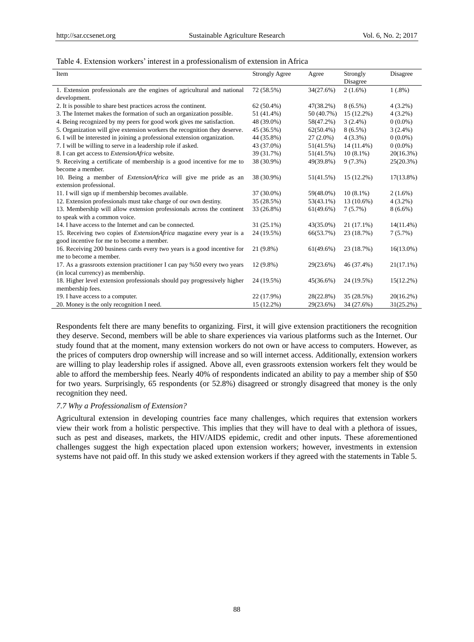## Table 4. Extension workers' interest in a professionalism of extension in Africa

| Item                                                                        | <b>Strongly Agree</b> | Agree        | Strongly     | Disagree     |
|-----------------------------------------------------------------------------|-----------------------|--------------|--------------|--------------|
|                                                                             |                       |              | Disagree     |              |
| 1. Extension professionals are the engines of agricultural and national     | 72 (58.5%)            | 34(27.6%)    | $2(1.6\%)$   | $1(.8\%)$    |
| development.                                                                |                       |              |              |              |
| 2. It is possible to share best practices across the continent.             | $62(50.4\%)$          | 47(38.2%)    | $8(6.5\%)$   | $4(3.2\%)$   |
| 3. The Internet makes the formation of such an organization possible.       | 51 (41.4%)            | 50 (40.7%)   | 15 (12.2%)   | $4(3.2\%)$   |
| 4. Being recognized by my peers for good work gives me satisfaction.        | 48 (39.0%)            | 58(47.2%)    | $3(2.4\%)$   | $0(0.0\%)$   |
| 5. Organization will give extension workers the recognition they deserve.   | 45 (36.5%)            | $62(50.4\%)$ | $8(6.5\%)$   | $3(2.4\%)$   |
| 6. I will be interested in joining a professional extension organization.   | 44 (35.8%)            | $27(2.0\%)$  | $4(3.3\%)$   | $0(0.0\%)$   |
| 7. I will be willing to serve in a leadership role if asked.                | 43 (37.0%)            | 51(41.5%)    | 14 (11.4%)   | $0(0.0\%)$   |
| 8. I can get access to <i>ExtensionAfrica</i> website.                      | 39 (31.7%)            | 51(41.5%)    | $10(8.1\%)$  | 20(16.3%)    |
| 9. Receiving a certificate of membership is a good incentive for me to      | 38 (30.9%)            | 49(39.8%)    | $9(7.3\%)$   | 25(20.3%)    |
| become a member.                                                            |                       |              |              |              |
| 10. Being a member of <i>ExtensionAfrica</i> will give me pride as an       | 38 (30.9%)            | 51(41.5%)    | 15 (12.2%)   | $17(13.8\%)$ |
| extension professional.                                                     |                       |              |              |              |
| 11. I will sign up if membership becomes available.                         | 37 (30.0%)            | 59(48.0%)    | $10(8.1\%)$  | $2(1.6\%)$   |
| 12. Extension professionals must take charge of our own destiny.            | 35 (28.5%)            | $53(43.1\%)$ | 13 (10.6%)   | $4(3.2\%)$   |
| 13. Membership will allow extension professionals across the continent      | 33 (26.8%)            | 61(49.6%)    | 7(5.7%)      | $8(6.6\%)$   |
| to speak with a common voice.                                               |                       |              |              |              |
| 14. I have access to the Internet and can be connected.                     | $31(25.1\%)$          | 43(35.0%)    | $21(17.1\%)$ | $14(11.4\%)$ |
| 15. Receiving two copies of <i>ExtensionAfrica</i> magazine every year is a | 24 (19.5%)            | 66(53.7%)    | 23 (18.7%)   | 7(5.7%)      |
| good incentive for me to become a member.                                   |                       |              |              |              |
| 16. Receiving 200 business cards every two years is a good incentive for    | 21 (9.8%)             | 61(49.6%)    | 23 (18.7%)   | $16(13.0\%)$ |
| me to become a member.                                                      |                       |              |              |              |
| 17. As a grassroots extension practitioner I can pay %50 every two years    | $12(9.8\%)$           | 29(23.6%)    | 46 (37.4%)   | 21(17.1%)    |
| (in local currency) as membership.                                          |                       |              |              |              |
| 18. Higher level extension professionals should pay progressively higher    | 24 (19.5%)            | 45(36.6%)    | 24 (19.5%)   | $15(12.2\%)$ |
| membership fees.                                                            |                       |              |              |              |
| 19. I have access to a computer.                                            | 22 (17.9%)            | 28(22.8%)    | 35 (28.5%)   | $20(16.2\%)$ |
| 20. Money is the only recognition I need.                                   | 15 (12.2%)            | 29(23.6%)    | 34 (27.6%)   | $31(25.2\%)$ |

Respondents felt there are many benefits to organizing. First, it will give extension practitioners the recognition they deserve. Second, members will be able to share experiences via various platforms such as the Internet. Our study found that at the moment, many extension workers do not own or have access to computers. However, as the prices of computers drop ownership will increase and so will internet access. Additionally, extension workers are willing to play leadership roles if assigned. Above all, even grassroots extension workers felt they would be able to afford the membership fees. Nearly 40% of respondents indicated an ability to pay a member ship of \$50 for two years. Surprisingly, 65 respondents (or 52.8%) disagreed or strongly disagreed that money is the only recognition they need.

# *7.7 Why a Professionalism of Extension?*

Agricultural extension in developing countries face many challenges, which requires that extension workers view their work from a holistic perspective. This implies that they will have to deal with a plethora of issues, such as pest and diseases, markets, the HIV/AIDS epidemic, credit and other inputs. These aforementioned challenges suggest the high expectation placed upon extension workers; however, investments in extension systems have not paid off. In this study we asked extension workers if they agreed with the statements in Table 5.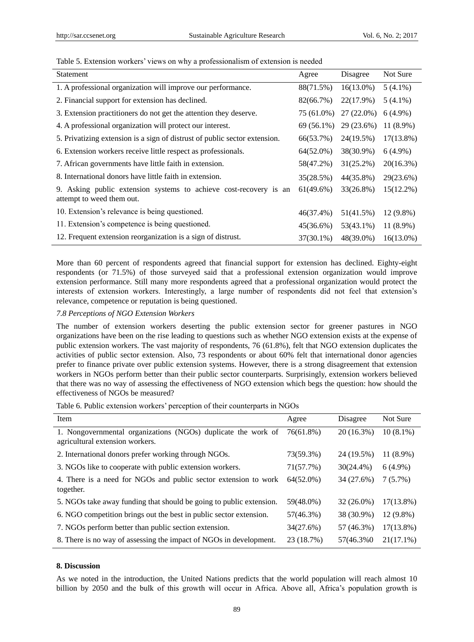| <b>Statement</b>                                                                               | Agree        | Disagree     | Not Sure     |
|------------------------------------------------------------------------------------------------|--------------|--------------|--------------|
| 1. A professional organization will improve our performance.                                   | 88(71.5%)    | $16(13.0\%)$ | $5(4.1\%)$   |
| 2. Financial support for extension has declined.                                               | 82(66.7%)    | 22(17.9%)    | $5(4.1\%)$   |
| 3. Extension practitioners do not get the attention they deserve.                              | 75 (61.0%)   | $27(22.0\%)$ | $6(4.9\%)$   |
| 4. A professional organization will protect our interest.                                      | 69 (56.1%)   | 29 (23.6%)   | $11(8.9\%)$  |
| 5. Privatizing extension is a sign of distrust of public sector extension.                     | 66(53.7%)    | 24(19.5%)    | $17(13.8\%)$ |
| 6. Extension workers receive little respect as professionals.                                  | 64(52.0%)    | 38(30.9%)    | $6(4.9\%)$   |
| 7. African governments have little faith in extension.                                         | 58(47.2%)    | $31(25.2\%)$ | $20(16.3\%)$ |
| 8. International donors have little faith in extension.                                        | 35(28.5%)    | 44(35.8%)    | 29(23.6%)    |
| 9. Asking public extension systems to achieve cost-recovery is an<br>attempt to weed them out. | $61(49.6\%)$ | 33(26.8%)    | $15(12.2\%)$ |
| 10. Extension's relevance is being questioned.                                                 | 46(37.4%)    | 51(41.5%)    | 12 (9.8%)    |
| 11. Extension's competence is being questioned.                                                | 45(36.6%)    | $53(43.1\%)$ | $11(8.9\%)$  |
| 12. Frequent extension reorganization is a sign of distrust.                                   | 37(30.1%)    | 48(39.0%)    | $16(13.0\%)$ |

#### Table 5. Extension workers' views on why a professionalism of extension is needed

More than 60 percent of respondents agreed that financial support for extension has declined. Eighty-eight respondents (or 71.5%) of those surveyed said that a professional extension organization would improve extension performance. Still many more respondents agreed that a professional organization would protect the interests of extension workers. Interestingly, a large number of respondents did not feel that extension's relevance, competence or reputation is being questioned.

#### *7.8 Perceptions of NGO Extension Workers*

The number of extension workers deserting the public extension sector for greener pastures in NGO organizations have been on the rise leading to questions such as whether NGO extension exists at the expense of public extension workers. The vast majority of respondents, 76 (61.8%), felt that NGO extension duplicates the activities of public sector extension. Also, 73 respondents or about 60% felt that international donor agencies prefer to finance private over public extension systems. However, there is a strong disagreement that extension workers in NGOs perform better than their public sector counterparts. Surprisingly, extension workers believed that there was no way of assessing the effectiveness of NGO extension which begs the question: how should the effectiveness of NGOs be measured?

Table 6. Public extension workers' perception of their counterparts in NGOs

| Item                                                                                             | Agree      | Disagree     | Not Sure     |
|--------------------------------------------------------------------------------------------------|------------|--------------|--------------|
| 1. Nongovernmental organizations (NGOs) duplicate the work of<br>agricultural extension workers. | 76(61.8%)  | $20(16.3\%)$ | $10(8.1\%)$  |
| 2. International donors prefer working through NGOs.                                             | 73(59.3%)  | 24 (19.5%)   | $11(8.9\%)$  |
| 3. NGOs like to cooperate with public extension workers.                                         | 71(57.7%)  | $30(24.4\%)$ | $6(4.9\%)$   |
| 4. There is a need for NGOs and public sector extension to work<br>together.                     | 64(52.0%)  | 34 (27.6%)   | 7(5.7%)      |
| 5. NGOs take away funding that should be going to public extension.                              | 59(48.0%)  | 32 (26.0%)   | $17(13.8\%)$ |
| 6. NGO competition brings out the best in public sector extension.                               | 57(46.3%)  | 38 (30.9%)   | $12(9.8\%)$  |
| 7. NGOs perform better than public section extension.                                            | 34(27.6%)  | 57 (46.3%)   | $17(13.8\%)$ |
| 8. There is no way of assessing the impact of NGOs in development.                               | 23 (18.7%) | 57(46.3%)    | $21(17.1\%)$ |

#### **8. Discussion**

As we noted in the introduction, the United Nations predicts that the world population will reach almost 10 billion by 2050 and the bulk of this growth will occur in Africa. Above all, Africa's population growth is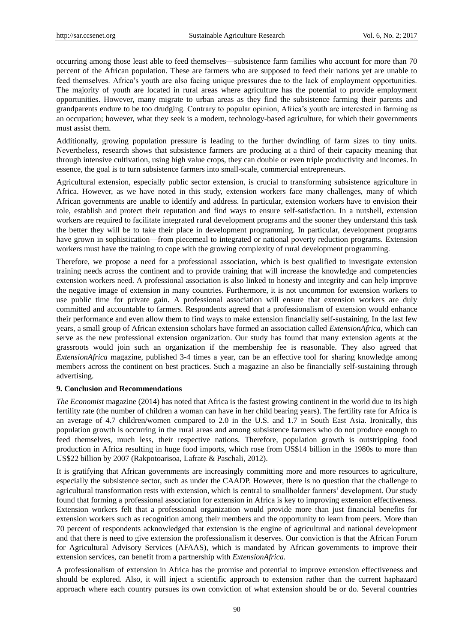occurring among those least able to feed themselves—subsistence farm families who account for more than 70 percent of the African population. These are farmers who are supposed to feed their nations yet are unable to feed themselves. Africa's youth are also facing unique pressures due to the lack of employment opportunities. The majority of youth are located in rural areas where agriculture has the potential to provide employment opportunities. However, many migrate to urban areas as they find the subsistence farming their parents and grandparents endure to be too drudging. Contrary to popular opinion, Africa's youth are interested in farming as an occupation; however, what they seek is a modern, technology-based agriculture, for which their governments must assist them.

Additionally, growing population pressure is leading to the further dwindling of farm sizes to tiny units. Nevertheless, research shows that subsistence farmers are producing at a third of their capacity meaning that through intensive cultivation, using high value crops, they can double or even triple productivity and incomes. In essence, the goal is to turn subsistence farmers into small-scale, commercial entrepreneurs.

Agricultural extension, especially public sector extension, is crucial to transforming subsistence agriculture in Africa. However, as we have noted in this study, extension workers face many challenges, many of which African governments are unable to identify and address. In particular, extension workers have to envision their role, establish and protect their reputation and find ways to ensure self-satisfaction. In a nutshell, extension workers are required to facilitate integrated rural development programs and the sooner they understand this task the better they will be to take their place in development programming. In particular, development programs have grown in sophistication—from piecemeal to integrated or national poverty reduction programs. Extension workers must have the training to cope with the growing complexity of rural development programming.

Therefore, we propose a need for a professional association, which is best qualified to investigate extension training needs across the continent and to provide training that will increase the knowledge and competencies extension workers need. A professional association is also linked to honesty and integrity and can help improve the negative image of extension in many countries. Furthermore, it is not uncommon for extension workers to use public time for private gain. A professional association will ensure that extension workers are duly committed and accountable to farmers. Respondents agreed that a professionalism of extension would enhance their performance and even allow them to find ways to make extension financially self-sustaining. In the last few years, a small group of African extension scholars have formed an association called *ExtensionAfrica,* which can serve as the new professional extension organization. Our study has found that many extension agents at the grassroots would join such an organization if the membership fee is reasonable. They also agreed that *ExtensionAfrica* magazine, published 3-4 times a year, can be an effective tool for sharing knowledge among members across the continent on best practices. Such a magazine an also be financially self-sustaining through advertising.

#### **9. Conclusion and Recommendations**

*The Economist* magazine (2014) has noted that Africa is the fastest growing continent in the world due to its high fertility rate (the number of children a woman can have in her child bearing years). The fertility rate for Africa is an average of 4.7 children/women compared to 2.0 in the U.S. and 1.7 in South East Asia. Ironically, this population growth is occurring in the rural areas and among subsistence farmers who do not produce enough to feed themselves, much less, their respective nations. Therefore, population growth is outstripping food production in Africa resulting in huge food imports, which rose from US\$14 billion in the 1980s to more than US\$22 billion by 2007 (Rakpotoarisoa, Lafrate & Paschali, 2012).

It is gratifying that African governments are increasingly committing more and more resources to agriculture, especially the subsistence sector, such as under the CAADP. However, there is no question that the challenge to agricultural transformation rests with extension, which is central to smallholder farmers' development. Our study found that forming a professional association for extension in Africa is key to improving extension effectiveness. Extension workers felt that a professional organization would provide more than just financial benefits for extension workers such as recognition among their members and the opportunity to learn from peers. More than 70 percent of respondents acknowledged that extension is the engine of agricultural and national development and that there is need to give extension the professionalism it deserves. Our conviction is that the African Forum for Agricultural Advisory Services (AFAAS), which is mandated by African governments to improve their extension services, can benefit from a partnership with *ExtensionAfrica.*

A professionalism of extension in Africa has the promise and potential to improve extension effectiveness and should be explored. Also, it will inject a scientific approach to extension rather than the current haphazard approach where each country pursues its own conviction of what extension should be or do. Several countries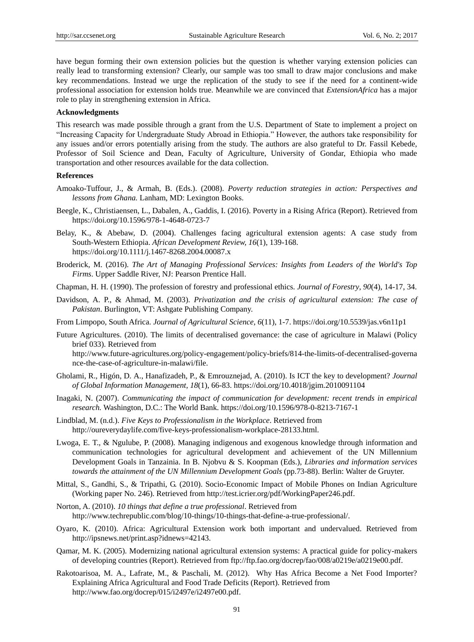have begun forming their own extension policies but the question is whether varying extension policies can really lead to transforming extension? Clearly, our sample was too small to draw major conclusions and make key recommendations. Instead we urge the replication of the study to see if the need for a continent-wide professional association for extension holds true. Meanwhile we are convinced that *ExtensionAfrica* has a major role to play in strengthening extension in Africa.

#### **Acknowledgments**

This research was made possible through a grant from the U.S. Department of State to implement a project on "Increasing Capacity for Undergraduate Study Abroad in Ethiopia." However, the authors take responsibility for any issues and/or errors potentially arising from the study. The authors are also grateful to Dr. Fassil Kebede, Professor of Soil Science and Dean, Faculty of Agriculture, University of Gondar, Ethiopia who made transportation and other resources available for the data collection.

## **References**

- Amoako-Tuffour, J., & Armah, B. (Eds.). (2008). *Poverty reduction strategies in action: Perspectives and lessons from Ghana.* Lanham, MD: Lexington Books.
- Beegle, K., Christiaensen, L., Dabalen, A., Gaddis, I. (2016). Poverty in a Rising Africa (Report). Retrieved from https://doi.org/10.1596/978-1-4648-0723-7
- Belay, K., & Abebaw, D. (2004). Challenges facing agricultural extension agents: A case study from South-Western Ethiopia. *African Development Review, 16*(1), 139-168. https://doi.org/10.1111/j.1467-8268.2004.00087.x
- Broderick, M. (2016). *The Art of Managing Professional Services: Insights from Leaders of the World's Top Firms*. Upper Saddle River, NJ: Pearson Prentice Hall.
- Chapman, H. H. (1990). The profession of forestry and professional ethics. *Journal of Forestry*, *90*(4), 14-17, 34.
- Davidson, A. P., & Ahmad, M. (2003). *Privatization and the crisis of agricultural extension: The case of Pakistan*. Burlington, VT: Ashgate Publishing Company.
- From Limpopo, South Africa. *Journal of Agricultural Science, 6*(11), 1-7. https://doi.org/10.5539/jas.v6n11p1
- Future Agricultures. (2010). The limits of decentralised governance: the case of agriculture in Malawi (Policy brief 033). Retrieved from

http://www.future-agricultures.org/policy-engagement/policy-briefs/814-the-limits-of-decentralised-governa nce-the-case-of-agriculture-in-malawi/file.

- Gholami, R., Higón, D. A., Hanafizadeh, P., & Emrouznejad, A. (2010). Is ICT the key to development? *Journal of Global Information Management, 18*(1), 66-83. https://doi.org/10.4018/jgim.2010091104
- Inagaki, N. (2007). *Communicating the impact of communication for development: recent trends in empirical research.* Washington, D.C.: The World Bank. https://doi.org/10.1596/978-0-8213-7167-1
- Lindblad, M. (n.d.). *Five Keys to Professionalism in the Workplace*. Retrieved from http://oureverydaylife.com/five-keys-professionalism-workplace-28133.html.
- Lwoga, E. T., & Ngulube, P. (2008). Managing indigenous and exogenous knowledge through information and communication technologies for agricultural development and achievement of the UN Millennium Development Goals in Tanzainia. In B. Njobvu & S. Koopman (Eds.), *Libraries and information services towards the attainment of the UN Millennium Development Goals* (pp.73-88). Berlin: Walter de Gruyter.
- Mittal, S., Gandhi, S., & Tripathi, G. (2010). Socio-Economic Impact of Mobile Phones on Indian Agriculture (Working paper No. 246). Retrieved from http://test.icrier.org/pdf/WorkingPaper246.pdf.
- Norton, A. (2010). *10 things that define a true professional*. Retrieved from http://www.techrepublic.com/blog/10-things/10-things-that-define-a-true-professional/.
- Oyaro, K. (2010). Africa: Agricultural Extension work both important and undervalued. Retrieved from http://ipsnews.net/print.asp?idnews=42143.
- Qamar, M. K. (2005). Modernizing national agricultural extension systems: A practical guide for policy-makers of developing countries (Report). Retrieved from ftp://ftp.fao.org/docrep/fao/008/a0219e/a0219e00.pdf.
- Rakotoarisoa, M. A., Lafrate, M., & Paschali, M. (2012). Why Has Africa Become a Net Food Importer? Explaining Africa Agricultural and Food Trade Deficits (Report). Retrieved from http://www.fao.org/docrep/015/i2497e/i2497e00.pdf.